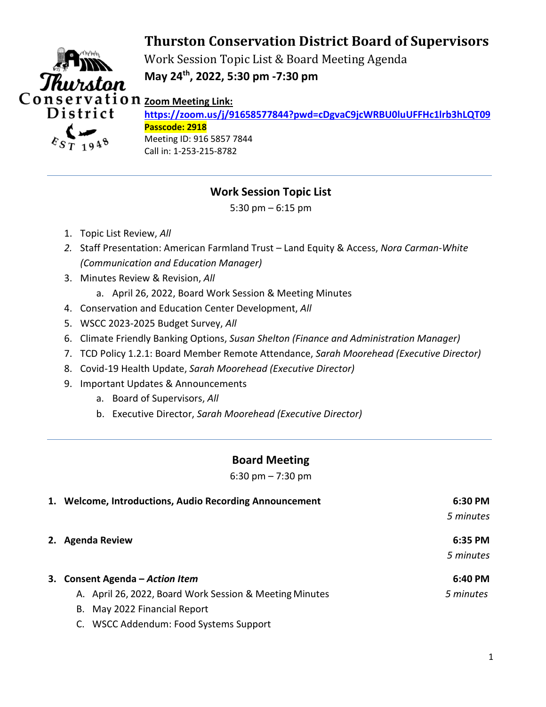## **Thurston Conservation District Board of Supervisors**



Work Session Topic List & Board Meeting Agenda **May 24th, 2022, 5:30 pm -7:30 pm** 

**https://zoom.us/j/91658577844?pwd=cDgvaC9jcWRBU0luUFFHc1lrb3hLQT09 Passcode: 2918**  Meeting ID: 916 5857 7844 Call in: 1-253-215-8782

## **Work Session Topic List**

5:30 pm – 6:15 pm

- 1. Topic List Review, *All*
- *2.* Staff Presentation: American Farmland Trust Land Equity & Access, *Nora Carman-White (Communication and Education Manager)*
- 3. Minutes Review & Revision, *All*
	- a. April 26, 2022, Board Work Session & Meeting Minutes
- 4. Conservation and Education Center Development, *All*
- 5. WSCC 2023-2025 Budget Survey, *All*
- 6. Climate Friendly Banking Options, *Susan Shelton (Finance and Administration Manager)*
- 7. TCD Policy 1.2.1: Board Member Remote Attendance, *Sarah Moorehead (Executive Director)*
- 8. Covid-19 Health Update, *Sarah Moorehead (Executive Director)*
- 9. Important Updates & Announcements
	- a. Board of Supervisors, *All*
	- b. Executive Director, *Sarah Moorehead (Executive Director)*

## **Board Meeting**

6:30 pm – 7:30 pm

| 1. Welcome, Introductions, Audio Recording Announcement | 6:30 PM   |
|---------------------------------------------------------|-----------|
|                                                         | 5 minutes |
| 2. Agenda Review                                        | 6:35 PM   |
|                                                         | 5 minutes |
| 3. Consent Agenda – Action Item                         | 6:40 PM   |
| A. April 26, 2022, Board Work Session & Meeting Minutes | 5 minutes |
| B. May 2022 Financial Report                            |           |
| C. WSCC Addendum: Food Systems Support                  |           |